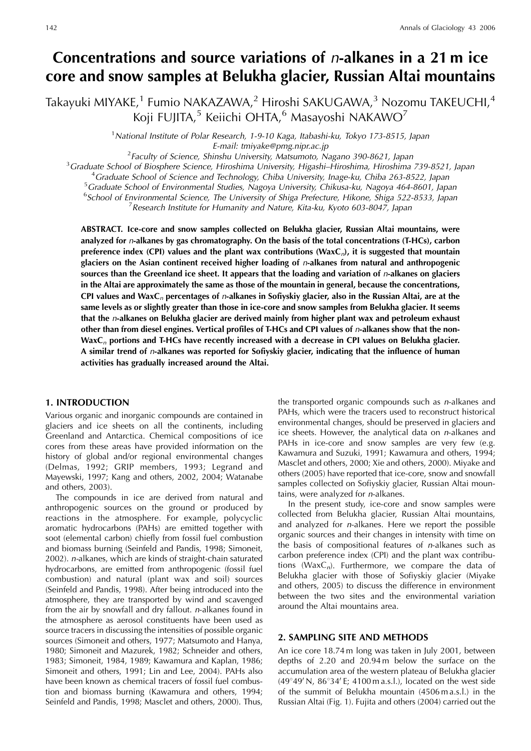# **Concentrations and source variations of** n**-alkanes in a 21 m ice core and snow samples at Belukha glacier, Russian Altai mountains**

Takayuki MIYAKE,<sup>1</sup> Fumio NAKAZAWA,<sup>2</sup> Hiroshi SAKUGAWA,<sup>3</sup> Nozomu TAKEUCHI,<sup>4</sup> Koji FUJITA,<sup>5</sup> Keiichi OHTA,<sup>6</sup> Masayoshi NAKAWO<sup>7</sup>

> <sup>1</sup> National Institute of Polar Research, 1-9-10 Kaga, Itabashi-ku, Tokyo 173-8515, Japan E-mail: tmiyake@pmg.nipr.ac.jp<br><sup>2</sup> Eaculty of Science, Shinshu University, Matsumete, N

Faculty of Science, Shinshu University, Matsumoto, Nagano 390-8621, Japan<sup>3</sup> Graduate School of Biosphere Science, Hiroshima University, Hirashi-Hiroshima, Hiroshima

<sup>3</sup> Graduate School of Biosphere Science, Hiroshima University, Higashi–Hiroshima, Hiroshima 739-8521, Japan

<sup>4</sup>Graduate School of Science and Technology, Chiba University, Inage-ku, Chiba 263-8522, Japan

<sup>5</sup> Graduate School of Environmental Studies, Nagoya University, Chikusa-ku, Nagoya 464-8601, Japan

<sup>6</sup> School of Environmental Science, The University of Shiga Prefecture, Hikone, Shiga 522-8533, Japan<br><sup>7</sup> Research Institute for Humanity and Nature, Kita-ku, Kyoto 603-8047, Japan

<sup>7</sup> Research Institute for Humanity and Nature, Kita-ku, Kyoto 603-8047, Japan

**ABSTRACT. Ice-core and snow samples collected on Belukha glacier, Russian Altai mountains, were analyzed for** n**-alkanes by gas chromatography. On the basis of the total concentrations (T-HCs), carbon preference index (CPI) values and the plant wax contributions (WaxC**n**), it is suggested that mountain glaciers on the Asian continent received higher loading of** n**-alkanes from natural and anthropogenic sources than the Greenland ice sheet. It appears that the loading and variation of** n**-alkanes on glaciers in the Altai are approximately the same as those of the mountain in general, because the concentrations, CPI values and WaxC**<sup>n</sup> **percentages of** n**-alkanes in Sofiyskiy glacier, also in the Russian Altai, are at the same levels as or slightly greater than those in ice-core and snow samples from Belukha glacier. It seems that the** n**-alkanes on Belukha glacier are derived mainly from higher plant wax and petroleum exhaust other than from diesel engines. Vertical profiles of T-HCs and CPI values of** n**-alkanes show that the non-WaxC**<sup>n</sup> **portions and T-HCs have recently increased with a decrease in CPI values on Belukha glacier. A similar trend of** n**-alkanes was reported for Sofiyskiy glacier, indicating that the influence of human activities has gradually increased around the Altai.**

#### **1. INTRODUCTION**

Various organic and inorganic compounds are contained in glaciers and ice sheets on all the continents, including Greenland and Antarctica. Chemical compositions of ice cores from these areas have provided information on the history of global and/or regional environmental changes (Delmas, 1992; GRIP members, 1993; Legrand and Mayewski, 1997; Kang and others, 2002, 2004; Watanabe and others, 2003).

The compounds in ice are derived from natural and anthropogenic sources on the ground or produced by reactions in the atmosphere. For example, polycyclic aromatic hydrocarbons (PAHs) are emitted together with soot (elemental carbon) chiefly from fossil fuel combustion and biomass burning (Seinfeld and Pandis, 1998; Simoneit, 2002). n-alkanes, which are kinds of straight-chain saturated hydrocarbons, are emitted from anthropogenic (fossil fuel combustion) and natural (plant wax and soil) sources (Seinfeld and Pandis, 1998). After being introduced into the atmosphere, they are transported by wind and scavenged from the air by snowfall and dry fallout. n-alkanes found in the atmosphere as aerosol constituents have been used as source tracers in discussing the intensities of possible organic sources (Simoneit and others, 1977; Matsumoto and Hanya, 1980; Simoneit and Mazurek, 1982; Schneider and others, 1983; Simoneit, 1984, 1989; Kawamura and Kaplan, 1986; Simoneit and others, 1991; Lin and Lee, 2004). PAHs also have been known as chemical tracers of fossil fuel combustion and biomass burning (Kawamura and others, 1994; Seinfeld and Pandis, 1998; Masclet and others, 2000). Thus,

the transported organic compounds such as n-alkanes and PAHs, which were the tracers used to reconstruct historical environmental changes, should be preserved in glaciers and ice sheets. However, the analytical data on n-alkanes and PAHs in ice-core and snow samples are very few (e.g. Kawamura and Suzuki, 1991; Kawamura and others, 1994; Masclet and others, 2000; Xie and others, 2000). Miyake and others (2005) have reported that ice-core, snow and snowfall samples collected on Sofiyskiy glacier, Russian Altai mountains, were analyzed for n-alkanes.

In the present study, ice-core and snow samples were collected from Belukha glacier, Russian Altai mountains, and analyzed for n-alkanes. Here we report the possible organic sources and their changes in intensity with time on the basis of compositional features of n-alkanes such as carbon preference index (CPI) and the plant wax contributions (Wax $C_n$ ). Furthermore, we compare the data of Belukha glacier with those of Sofiyskiy glacier (Miyake and others, 2005) to discuss the difference in environment between the two sites and the environmental variation around the Altai mountains area.

# **2. SAMPLING SITE AND METHODS**

An ice core 18.74 m long was taken in July 2001, between depths of 2.20 and 20.94 m below the surface on the accumulation area of the western plateau of Belukha glacier (49 $\degree$ 49' N, 86 $\degree$ 34' E; 4100 m a.s.l.), located on the west side of the summit of Belukha mountain (4506 m a.s.l.) in the Russian Altai (Fig. 1). Fujita and others (2004) carried out the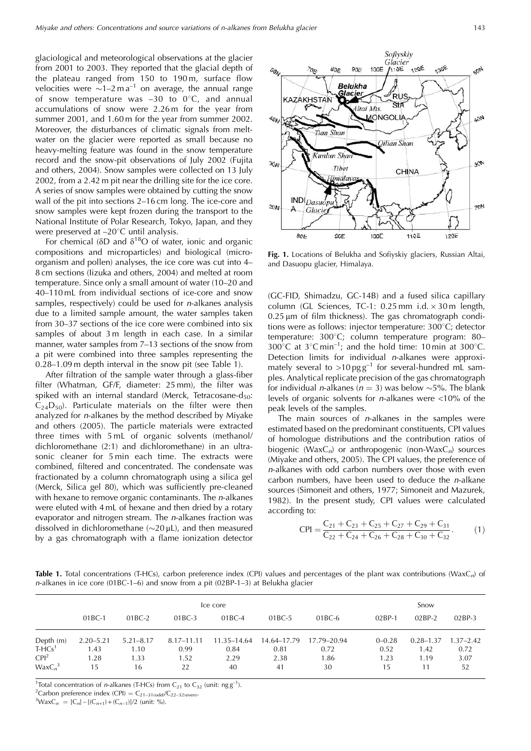glaciological and meteorological observations at the glacier from 2001 to 2003. They reported that the glacial depth of the plateau ranged from 150 to 190 m, surface flow velocities were  $\sim 1-2$  m a<sup>-1</sup> on average, the annual range of snow temperature was  $-30$  to  $0^{\circ}$ C, and annual accumulations of snow were 2.26 m for the year from summer 2001, and 1.60 m for the year from summer 2002. Moreover, the disturbances of climatic signals from meltwater on the glacier were reported as small because no heavy-melting feature was found in the snow temperature record and the snow-pit observations of July 2002 (Fujita and others, 2004). Snow samples were collected on 13 July 2002, from a 2.42 m pit near the drilling site for the ice core. A series of snow samples were obtained by cutting the snow wall of the pit into sections 2–16 cm long. The ice-core and snow samples were kept frozen during the transport to the National Institute of Polar Research, Tokyo, Japan, and they were preserved at  $-20^{\circ}$ C until analysis.

For chemical ( $\delta$ D and  $\delta$ <sup>18</sup>O of water, ionic and organic compositions and microparticles) and biological (microorganism and pollen) analyses, the ice core was cut into 4– 8 cm sections (Iizuka and others, 2004) and melted at room temperature. Since only a small amount of water (10–20 and 40–110 mL from individual sections of ice-core and snow samples, respectively) could be used for  $n$ -alkanes analysis due to a limited sample amount, the water samples taken from 30–37 sections of the ice core were combined into six samples of about 3 m length in each case. In a similar manner, water samples from 7–13 sections of the snow from a pit were combined into three samples representing the 0.28–1.09 m depth interval in the snow pit (see Table 1).

After filtration of the sample water through a glass-fiber filter (Whatman, GF/F, diameter: 25 mm), the filter was spiked with an internal standard (Merck, Tetracosane-d<sub>50</sub>:  $C_{24}D_{50}$ . Particulate materials on the filter were then analyzed for n-alkanes by the method described by Miyake and others (2005). The particle materials were extracted three times with 5 mL of organic solvents (methanol/ dichloromethane (2:1) and dichloromethane) in an ultrasonic cleaner for 5 min each time. The extracts were combined, filtered and concentrated. The condensate was fractionated by a column chromatograph using a silica gel (Merck, Silica gel 80), which was sufficiently pre-cleaned with hexane to remove organic contaminants. The *n*-alkanes were eluted with 4 mL of hexane and then dried by a rotary evaporator and nitrogen stream. The n-alkanes fraction was dissolved in dichloromethane  $(\sim 20 \,\mu$ L), and then measured by a gas chromatograph with a flame ionization detector



**Fig. 1.** Locations of Belukha and Sofiyskiy glaciers, Russian Altai, and Dasuopu glacier, Himalaya.

(GC-FID, Shimadzu, GC-14B) and a fused silica capillary column (GL Sciences, TC-1:  $0.25$  mm i.d.  $\times$  30 m length,  $0.25 \,\mu m$  of film thickness). The gas chromatograph conditions were as follows: injector temperature:  $300^{\circ}$ C; detector temperature: 300°C; column temperature program: 80– 300°C at  $3^{\circ}$ C min<sup>-1</sup>; and the hold time: 10 min at 300°C. Detection limits for individual n-alkanes were approximately several to  $>10 \text{ pgg}^{-1}$  for several-hundred mL samples. Analytical replicate precision of the gas chromatograph for individual *n*-alkanes ( $n = 3$ ) was below  $\sim 5\%$ . The blank levels of organic solvents for n-alkanes were <10% of the peak levels of the samples.

The main sources of  $n$ -alkanes in the samples were estimated based on the predominant constituents, CPI values of homologue distributions and the contribution ratios of biogenic (Wax $C_n$ ) or anthropogenic (non-Wax $C_n$ ) sources (Miyake and others, 2005). The CPI values, the preference of n-alkanes with odd carbon numbers over those with even carbon numbers, have been used to deduce the n-alkane sources (Simoneit and others, 1977; Simoneit and Mazurek, 1982). In the present study, CPI values were calculated according to:

$$
CPI = \frac{C_{21} + C_{23} + C_{25} + C_{27} + C_{29} + C_{31}}{C_{22} + C_{24} + C_{26} + C_{28} + C_{30} + C_{32}}.
$$
 (1)

Table 1. Total concentrations (T-HCs), carbon preference index (CPI) values and percentages of the plant wax contributions (WaxC<sub>n</sub>) of  $n$ -alkanes in ice core (01BC-1–6) and snow from a pit (02BP-1–3) at Belukha glacier

|                                                                  | Ice core                            |                                     |                                  |                                   |                                   |                                   |                                  | Snow                                |                                     |  |
|------------------------------------------------------------------|-------------------------------------|-------------------------------------|----------------------------------|-----------------------------------|-----------------------------------|-----------------------------------|----------------------------------|-------------------------------------|-------------------------------------|--|
|                                                                  | $01BC-1$                            | $01BC-2$                            | $01BC-3$                         | 01BC-4                            | 01BC-5                            | $01BC-6$                          | $02BP-1$                         | $02BP-2$                            | $02BP-3$                            |  |
| Depth (m)<br>THCS <sup>1</sup><br>CPI <sup>2</sup><br>$WaxC_n^3$ | $2.20 - 5.21$<br>1.43<br>1.28<br>15 | $5.21 - 8.17$<br>1.10<br>1.33<br>16 | 8.17–11.11<br>0.99<br>1.52<br>22 | 11.35–14.64<br>0.84<br>2.29<br>40 | 14.64–17.79<br>0.81<br>2.38<br>41 | 17.79–20.94<br>0.72<br>1.86<br>30 | $0 - 0.28$<br>0.52<br>1.23<br>15 | $0.28 - 1.37$<br>1.42<br>1.19<br>11 | $1.37 - 2.42$<br>0.72<br>3.07<br>52 |  |

<sup>1</sup>Total concentration of *n*-alkanes (T-HCs) from C<sub>21</sub> to C<sub>32</sub> (unit: ng g<sup>-1</sup>).<br><sup>2</sup>Carbon preference index (CPI) – C<sub>21</sub> surve (C<sub>22</sub> sex)

<sup>2</sup>Carbon preference index (CPI) =  $C_{21-31(odd)}/C_{22-32(even)}$ .

 $^{3}WaxC_n = [C_n] - [(C_{n+1}) + (C_{n-1})]/2$  (unit: %).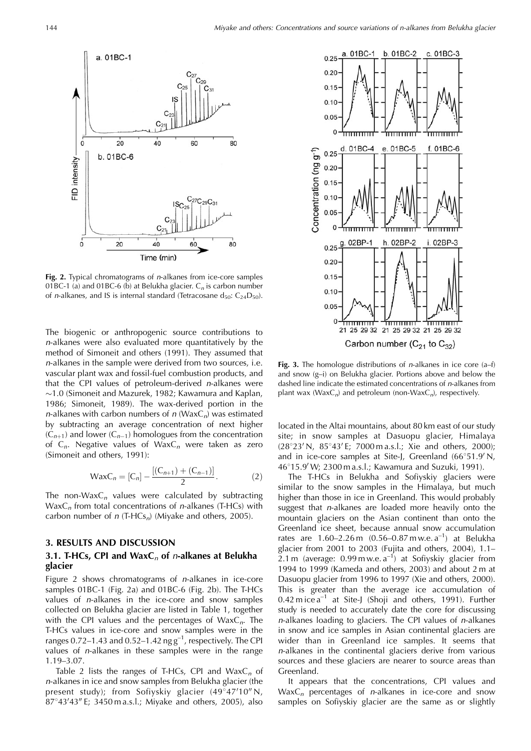

Fig. 2. Typical chromatograms of *n*-alkanes from ice-core samples 01BC-1 (a) and 01BC-6 (b) at Belukha glacier.  $C_n$  is carbon number of *n*-alkanes, and IS is internal standard (Tetracosane  $d_{50}$ :  $C_{24}D_{50}$ ).

The biogenic or anthropogenic source contributions to n-alkanes were also evaluated more quantitatively by the method of Simoneit and others (1991). They assumed that n-alkanes in the sample were derived from two sources, i.e. vascular plant wax and fossil-fuel combustion products, and that the CPI values of petroleum-derived n-alkanes were  $\sim$ 1.0 (Simoneit and Mazurek, 1982; Kawamura and Kaplan, 1986; Simoneit, 1989). The wax-derived portion in the n-alkanes with carbon numbers of  $n$  (WaxC<sub>n</sub>) was estimated by subtracting an average concentration of next higher  $(C_{n+1})$  and lower  $(C_{n-1})$  homologues from the concentration of  $C_n$ . Negative values of Wax $C_n$  were taken as zero (Simoneit and others, 1991):

$$
WaxC_n = [C_n] - \frac{[(C_{n+1}) + (C_{n-1})]}{2}.
$$
 (2)

The non-Wax $C_n$  values were calculated by subtracting  $WaxC_n$  from total concentrations of *n*-alkanes (T-HCs) with carbon number of  $n$  (T-HCs<sub>n</sub>) (Miyake and others, 2005).

## **3. RESULTS AND DISCUSSION**

# 3.1. T-HCs, CPI and WaxC<sub>n</sub> of *n*-alkanes at Belukha **glacier**

Figure 2 shows chromatograms of n-alkanes in ice-core samples 01BC-1 (Fig. 2a) and 01BC-6 (Fig. 2b). The T-HCs values of n-alkanes in the ice-core and snow samples collected on Belukha glacier are listed in Table 1, together with the CPI values and the percentages of  $WaxC_n$ . The T-HCs values in ice-core and snow samples were in the ranges  $0.72-1.43$  and  $0.52-1.42$  ng  $g^{-1}$ , respectively. The CPI values of n-alkanes in these samples were in the range 1.19–3.07.

Table 2 lists the ranges of T-HCs, CPI and  $WaxC_n$  of n-alkanes in ice and snow samples from Belukha glacier (the present study); from Sofiyskiy glacier  $(49\degree47'10''$  N,  $87^{\circ}43'43''$  E; 3450 m a.s.l.; Miyake and others, 2005), also



**Fig. 3.** The homologue distributions of *n*-alkanes in ice core (a–f) and snow (g–i) on Belukha glacier. Portions above and below the dashed line indicate the estimated concentrations of n-alkanes from plant wax ( $WaxC_n$ ) and petroleum (non-Wax $C_n$ ), respectively.

located in the Altai mountains, about 80 km east of our study site; in snow samples at Dasuopu glacier, Himalaya  $(28°23' N, 85°43' E; 7000 m a.s.l.; Xie and others, 2000);$ and in ice-core samples at Site-J, Greenland  $(66°51.9'N,$ 46°15.9' W; 2300 m a.s.l.; Kawamura and Suzuki, 1991).

The T-HCs in Belukha and Sofiyskiy glaciers were similar to the snow samples in the Himalaya, but much higher than those in ice in Greenland. This would probably suggest that *n*-alkanes are loaded more heavily onto the mountain glaciers on the Asian continent than onto the Greenland ice sheet, because annual snow accumulation rates are  $1.60 - 2.26$  m  $(0.56 - 0.87$  m w.e.  $a^{-1}$  at Belukha glacier from 2001 to 2003 (Fujita and others, 2004), 1.1– 2.1 m (average: 0.99 m w.e.  $a^{-1}$ ) at Sofiyskiy glacier from 1994 to 1999 (Kameda and others, 2003) and about 2 m at Dasuopu glacier from 1996 to 1997 (Xie and others, 2000). This is greater than the average ice accumulation of 0.42 m ice  $a^{-1}$  at Site-J (Shoji and others, 1991). Further study is needed to accurately date the core for discussing n-alkanes loading to glaciers. The CPI values of n-alkanes in snow and ice samples in Asian continental glaciers are wider than in Greenland ice samples. It seems that n-alkanes in the continental glaciers derive from various sources and these glaciers are nearer to source areas than Greenland.

It appears that the concentrations, CPI values and  $WaxC_n$  percentages of *n*-alkanes in ice-core and snow samples on Sofiyskiy glacier are the same as or slightly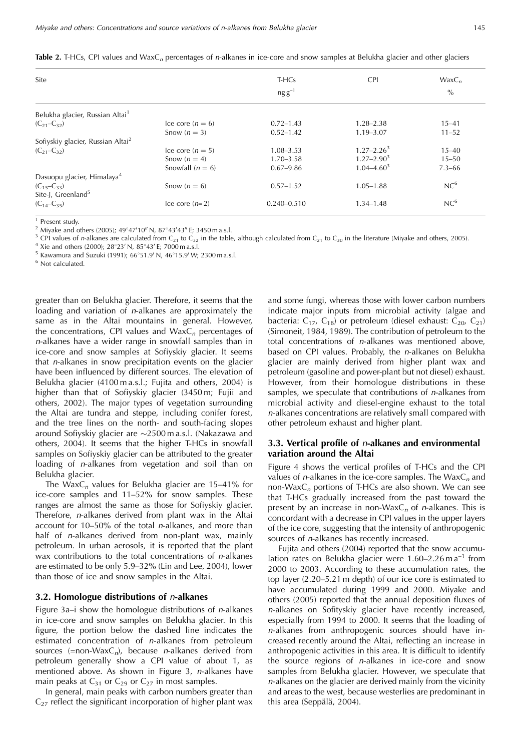|   | ٦<br>I<br>-<br>I |
|---|------------------|
| ۰ | ×<br>×<br>۰.     |

|  |  |  |  |  |  |  |  |  |  |  | <b>Table 2.</b> T-HCs, CPI values and WaxC <sub>n</sub> percentages of n-alkanes in ice-core and snow samples at Belukha glacier and other glaciers |
|--|--|--|--|--|--|--|--|--|--|--|-----------------------------------------------------------------------------------------------------------------------------------------------------|
|--|--|--|--|--|--|--|--|--|--|--|-----------------------------------------------------------------------------------------------------------------------------------------------------|

| Site                                          |                    | T-HCs<br>$ngg^{-1}$ | <b>CPI</b>      | $WaxC_n$<br>$\%$ |
|-----------------------------------------------|--------------------|---------------------|-----------------|------------------|
| Belukha glacier, Russian Altai <sup>1</sup>   |                    |                     |                 |                  |
| $(C_{21}-C_{32})$                             | Ice core $(n = 6)$ | $0.72 - 1.43$       | $1.28 - 2.38$   | $15 - 41$        |
|                                               | Snow $(n = 3)$     | $0.52 - 1.42$       | $1.19 - 3.07$   | $11 - 52$        |
| Sofiyskiy glacier, Russian Altai <sup>2</sup> |                    |                     |                 |                  |
| $(C_{21}-C_{32})$                             | Ice core $(n = 5)$ | $1.08 - 3.53$       | $1.27 - 2.26^3$ | $15 - 40$        |
|                                               | Snow $(n = 4)$     | $1.70 - 3.58$       | $1.27 - 2.90^3$ | $15 - 50$        |
|                                               | Snowfall $(n = 6)$ | $0.67 - 9.86$       | $1.04 - 4.60^3$ | $7.3 - 66$       |
| Dasuopu glacier, Himalaya <sup>4</sup>        |                    |                     |                 |                  |
| $(C_{15}-C_{33})$                             | Snow $(n = 6)$     | $0.57 - 1.52$       | $1.05 - 1.88$   | NC <sup>6</sup>  |
| Site-J, Greenland <sup>5</sup>                |                    |                     |                 |                  |
| $(C_{14}-C_{35})$                             | Ice core $(n=2)$   | $0.240 - 0.510$     | $1.34 - 1.48$   | NC <sup>6</sup>  |

<sup>1</sup> Present study.

<sup>2</sup> Miyake and others (2005);  $49^{\circ}47'10''$  N,  $87^{\circ}43'43''$  E; 3450 m a.s.l.

<sup>3</sup> CPI values of *n*-alkanes are calculated from C<sub>21</sub> to C<sub>32</sub> in the table, although calculated from C<sub>21</sub> to C<sub>30</sub> in the literature (Miyake and others, 2005). <sup>4</sup> Xie and others (2000); 28°23' N, 85°43' E; 7000 m a.s

 $5$  Kawamura and Suzuki (1991);  $66°51.9'$  N,  $46°15.9'$  W; 2300 m a.s.l.

<sup>6</sup> Not calculated.

greater than on Belukha glacier. Therefore, it seems that the loading and variation of n-alkanes are approximately the same as in the Altai mountains in general. However, the concentrations, CPI values and  $WaxC_n$  percentages of n-alkanes have a wider range in snowfall samples than in ice-core and snow samples at Sofiyskiy glacier. It seems that n-alkanes in snow precipitation events on the glacier have been influenced by different sources. The elevation of Belukha glacier (4100 m a.s.l.; Fujita and others, 2004) is higher than that of Sofiyskiy glacier (3450 m; Fujii and others, 2002). The major types of vegetation surrounding the Altai are tundra and steppe, including conifer forest, and the tree lines on the north- and south-facing slopes around Sofiyskiy glacier are  $\sim$ 2500 m a.s.l. (Nakazawa and others, 2004). It seems that the higher T-HCs in snowfall samples on Sofiyskiy glacier can be attributed to the greater loading of n-alkanes from vegetation and soil than on Belukha glacier.

The Wax $C_n$  values for Belukha glacier are 15–41% for ice-core samples and 11–52% for snow samples. These ranges are almost the same as those for Sofiyskiy glacier. Therefore, n-alkanes derived from plant wax in the Altai account for 10–50% of the total n-alkanes, and more than half of *n*-alkanes derived from non-plant wax, mainly petroleum. In urban aerosols, it is reported that the plant wax contributions to the total concentrations of *n*-alkanes are estimated to be only 5.9–32% (Lin and Lee, 2004), lower than those of ice and snow samples in the Altai.

#### **3.2. Homologue distributions of** n**-alkanes**

Figure  $3a$ –i show the homologue distributions of *n*-alkanes in ice-core and snow samples on Belukha glacier. In this figure, the portion below the dashed line indicates the estimated concentration of n-alkanes from petroleum sources (=non-Wax $C_n$ ), because *n*-alkanes derived from petroleum generally show a CPI value of about 1, as mentioned above. As shown in Figure 3, n-alkanes have main peaks at  $C_{31}$  or  $C_{29}$  or  $C_{27}$  in most samples.

In general, main peaks with carbon numbers greater than  $C_{27}$  reflect the significant incorporation of higher plant wax

and some fungi, whereas those with lower carbon numbers indicate major inputs from microbial activity (algae and bacteria:  $C_{17}$ ,  $C_{18}$ ) or petroleum (diesel exhaust:  $C_{20}$ ,  $C_{21}$ ) (Simoneit, 1984, 1989). The contribution of petroleum to the total concentrations of n-alkanes was mentioned above, based on CPI values. Probably, the n-alkanes on Belukha glacier are mainly derived from higher plant wax and petroleum (gasoline and power-plant but not diesel) exhaust. However, from their homologue distributions in these samples, we speculate that contributions of n-alkanes from microbial activity and diesel-engine exhaust to the total n-alkanes concentrations are relatively small compared with other petroleum exhaust and higher plant.

## **3.3. Vertical profile of** n**-alkanes and environmental variation around the Altai**

Figure 4 shows the vertical profiles of T-HCs and the CPI values of *n*-alkanes in the ice-core samples. The  $WaxC_n$  and non-Wax $C_n$  portions of T-HCs are also shown. We can see that T-HCs gradually increased from the past toward the present by an increase in non-Wax $C_n$  of *n*-alkanes. This is concordant with a decrease in CPI values in the upper layers of the ice core, suggesting that the intensity of anthropogenic sources of n-alkanes has recently increased.

Fujita and others (2004) reported that the snow accumulation rates on Belukha glacier were  $1.60 - 2.26$  m a<sup>-1</sup> from 2000 to 2003. According to these accumulation rates, the top layer (2.20–5.21 m depth) of our ice core is estimated to have accumulated during 1999 and 2000. Miyake and others (2005) reported that the annual deposition fluxes of n-alkanes on Sofityskiy glacier have recently increased, especially from 1994 to 2000. It seems that the loading of n-alkanes from anthropogenic sources should have increased recently around the Altai, reflecting an increase in anthropogenic activities in this area. It is difficult to identify the source regions of n-alkanes in ice-core and snow samples from Belukha glacier. However, we speculate that n-alkanes on the glacier are derived mainly from the vicinity and areas to the west, because westerlies are predominant in this area (Seppälä, 2004).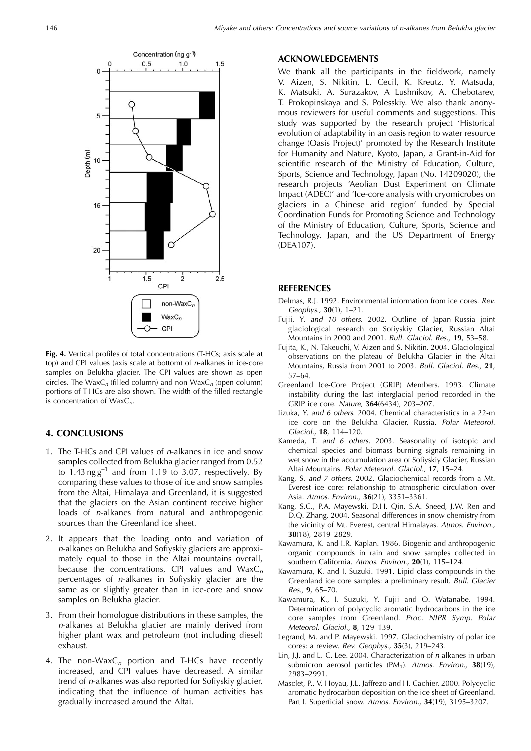

**Fig. 4.** Vertical profiles of total concentrations (T-HCs; axis scale at top) and CPI values (axis scale at bottom) of n-alkanes in ice-core samples on Belukha glacier. The CPI values are shown as open circles. The WaxC<sub>n</sub> (filled column) and non-WaxC<sub>n</sub> (open column) portions of T-HCs are also shown. The width of the filled rectangle is concentration of  $WaxC_n$ .

# **4. CONCLUSIONS**

- 1. The T-HCs and CPI values of  $n$ -alkanes in ice and snow samples collected from Belukha glacier ranged from 0.52 to  $1.43 \text{ ng g}^{-1}$  and from 1.19 to 3.07, respectively. By comparing these values to those of ice and snow samples from the Altai, Himalaya and Greenland, it is suggested that the glaciers on the Asian continent receive higher loads of *n*-alkanes from natural and anthropogenic sources than the Greenland ice sheet.
- 2. It appears that the loading onto and variation of n-alkanes on Belukha and Sofiyskiy glaciers are approximately equal to those in the Altai mountains overall, because the concentrations, CPI values and  $WaxC_n$ percentages of n-alkanes in Sofiyskiy glacier are the same as or slightly greater than in ice-core and snow samples on Belukha glacier.
- 3. From their homologue distributions in these samples, the n-alkanes at Belukha glacier are mainly derived from higher plant wax and petroleum (not including diesel) exhaust.
- 4. The non-Wax $C_n$  portion and T-HCs have recently increased, and CPI values have decreased. A similar trend of n-alkanes was also reported for Sofiyskiy glacier, indicating that the influence of human activities has gradually increased around the Altai.

## **ACKNOWLEDGEMENTS**

We thank all the participants in the fieldwork, namely V. Aizen, S. Nikitin, L. Cecil, K. Kreutz, Y. Matsuda, K. Matsuki, A. Surazakov, A Lushnikov, A. Chebotarev, T. Prokopinskaya and S. Polesskiy. We also thank anonymous reviewers for useful comments and suggestions. This study was supported by the research project 'Historical evolution of adaptability in an oasis region to water resource change (Oasis Project)' promoted by the Research Institute for Humanity and Nature, Kyoto, Japan, a Grant-in-Aid for scientific research of the Ministry of Education, Culture, Sports, Science and Technology, Japan (No. 14209020), the research projects 'Aeolian Dust Experiment on Climate Impact (ADEC)' and 'Ice-core analysis with cryomicrobes on glaciers in a Chinese arid region' funded by Special Coordination Funds for Promoting Science and Technology of the Ministry of Education, Culture, Sports, Science and Technology, Japan, and the US Department of Energy (DEA107).

## **REFERENCES**

- Delmas, R.J. 1992. Environmental information from ice cores. Rev. Geophys., **30**(1), 1–21.
- Fujii, Y. and 10 others. 2002. Outline of Japan–Russia joint glaciological research on Sofiyskiy Glacier, Russian Altai Mountains in 2000 and 2001. Bull. Glaciol. Res., **19**, 53–58.
- Fujita, K., N. Takeuchi, V. Aizen and S. Nikitin. 2004. Glaciological observations on the plateau of Belukha Glacier in the Altai Mountains, Russia from 2001 to 2003. Bull. Glaciol. Res., **21**, 57–64.
- Greenland Ice-Core Project (GRIP) Members. 1993. Climate instability during the last interglacial period recorded in the GRIP ice core. Nature, **364**(6434), 203–207.
- Iizuka, Y. and 6 others. 2004. Chemical characteristics in a 22-m ice core on the Belukha Glacier, Russia. Polar Meteorol. Glaciol., **18**, 114–120.
- Kameda, T. and 6 others. 2003. Seasonality of isotopic and chemical species and biomass burning signals remaining in wet snow in the accumulation area of Sofiyskiy Glacier, Russian Altai Mountains. Polar Meteorol. Glaciol., **17**, 15–24.
- Kang, S. and 7 others. 2002. Glaciochemical records from a Mt. Everest ice core: relationship to atmospheric circulation over Asia. Atmos. Environ., **36**(21), 3351–3361.
- Kang, S.C., P.A. Mayewski, D.H. Qin, S.A. Sneed, J.W. Ren and D.Q. Zhang. 2004. Seasonal differences in snow chemistry from the vicinity of Mt. Everest, central Himalayas. Atmos. Environ., **38**(18), 2819–2829.
- Kawamura, K. and I.R. Kaplan. 1986. Biogenic and anthropogenic organic compounds in rain and snow samples collected in southern California. Atmos. Environ., **20**(1), 115–124.
- Kawamura, K. and I. Suzuki. 1991. Lipid class compounds in the Greenland ice core samples: a preliminary result. Bull. Glacier Res., **9**, 65–70.
- Kawamura, K., I. Suzuki, Y. Fujii and O. Watanabe. 1994. Determination of polycyclic aromatic hydrocarbons in the ice core samples from Greenland. Proc. NIPR Symp. Polar Meteorol. Glaciol., **8**, 129–139.
- Legrand, M. and P. Mayewski. 1997. Glaciochemistry of polar ice cores: a review. Rev. Geophys., **35**(3), 219–243.
- Lin, J.J. and L.-C. Lee. 2004. Characterization of n-alkanes in urban submicron aerosol particles (PM<sub>1</sub>). Atmos. Environ., 38(19), 2983–2991.
- Masclet, P., V. Hoyau, J.L. Jaffrezo and H. Cachier. 2000. Polycyclic aromatic hydrocarbon deposition on the ice sheet of Greenland. Part I. Superficial snow. Atmos. Environ., **34**(19), 3195–3207.